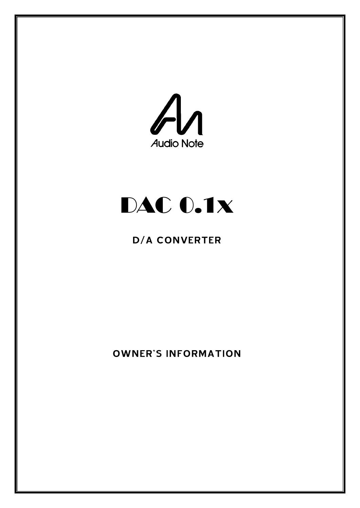

# DAC 0.1x

# D/A CONVERTER

OWNER'S INFORMATION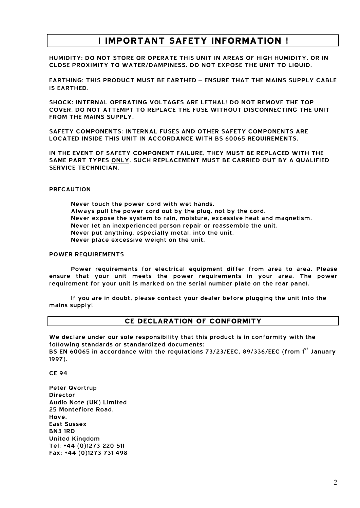# **! IMPORTANT SAFETY INFORMATION !**

HUMIDITY: DO NOT STORE OR OPERATE THIS UNIT IN AREAS OF HIGH HUMIDITY, OR IN CLOSE PROXIMITY TO WATER/DAMPINESS. DO NOT EXPOSE THE UNIT TO LIQUID.

EARTHING: THIS PRODUCT MUST BE EARTHED – ENSURE THAT THE MAINS SUPPLY CABLE IS EARTHED.

SHOCK: INTERNAL OPERATING VOLTAGES ARE LETHAL! DO NOT REMOVE THE TOP COVER. DO NOT ATTEMPT TO REPLACE THE FUSE WITHOUT DISCONNECTING THE UNIT FROM THE MAINS SUPPLY.

SAFETY COMPONENTS: INTERNAL FUSES AND OTHER SAFETY COMPONENTS ARE LOCATED INSIDE THIS UNIT IN ACCORDANCE WITH BS 60065 REQUIREMENTS.

IN THE EVENT OF SAFETY COMPONENT FAILURE, THEY MUST BE REPLACED WITH THE SAME PART TYPES ONLY. SUCH REPLACEMENT MUST BE CARRIED OUT BY A QUALIFIED SERVICE TECHNICIAN.

# PRECAUTION

 Never touch the power cord with wet hands. Always pull the power cord out by the plug, not by the cord. Never expose the system to rain, moisture, excessive heat and magnetism. Never let an inexperienced person repair or reassemble the unit. Never put anything, especially metal, into the unit. Never place excessive weight on the unit.

#### POWER REQUIREMENTS

 Power requirements for electrical equipment differ from area to area. Please ensure that your unit meets the power requirements in your area. The power requirement for your unit is marked on the serial number plate on the rear panel.

 If you are in doubt, please contact your dealer before plugging the unit into the mains supply!

# **CE DECLARATION OF CONFORMITY**

We declare under our sole responsibility that this product is in conformity with the following standards or standardized documents: BS EN 60065 in accordance with the regulations 73/23/EEC, 89/336/EEC (from 1<sup>st</sup> January 1997).

CE 94

Peter Qvortrup Director Audio Note (UK) Limited 25 Montefiore Road, Hove, East Sussex BN3 1RD United Kingdom Tel: +44 (0)1273 220 511 Fax: +44 (0)1273 731 498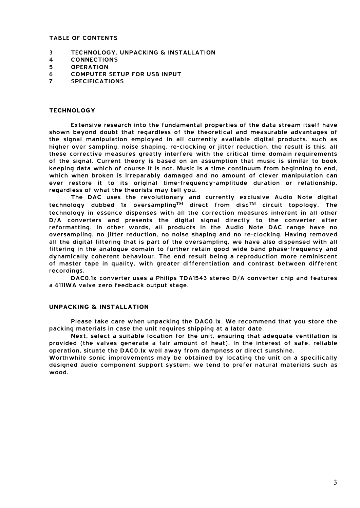#### TABLE OF CONTENTS

- 3 TECHNOLOGY, UNPACKING & INSTALLATION
- 4 CONNECTIONS
- 5 OPERATION
- 6 COMPUTER SETUP FOR USB INPUT
- 7 SPECIFICATIONS

#### **TECHNOLOGY**

Extensive research into the fundamental properties of the data stream itself have shown beyond doubt that regardless of the theoretical and measurable advantages of the signal manipulation employed in all currently available digital products, such as higher over sampling, noise shaping, re-clocking or jitter reduction, the result is this: all these corrective measures greatly interfere with the critical time domain requirements of the signal. Current theory is based on an assumption that music is similar to book keeping data which of course it is not. Music is a time continuum from beginning to end, which when broken is irreparably damaged and no amount of clever manipulation can ever restore it to its original time-frequency-amplitude duration or relationship, regardless of what the theorists may tell you.

The DAC uses the revolutionary and currently exclusive Audio Note digital technology dubbed 1x oversampling™ direct from disc™ circuit topology. The technology in essence dispenses with all the correction measures inherent in all other D/A converters and presents the digital signal directly to the converter after reformatting. In other words, all products in the Audio Note DAC range have no oversampling, no jitter reduction, no noise shaping and no re-clocking. Having removed all the digital filtering that is part of the oversampling, we have also dispensed with all filtering in the analogue domain to further retain good wide band phase-frequency and dynamically coherent behaviour. The end result being a reproduction more reminiscent of master tape in quality, with greater differentiation and contrast between different recordings.

DAC0.1x converter uses a Philips TDA1543 stereo D/A converter chip and features a 6111WA valve zero feedback output stage.

#### **UNPACKING & INSTALLATION**

Please take care when unpacking the DAC0.1x. We recommend that you store the packing materials in case the unit requires shipping at a later date.

Next, select a suitable location for the unit, ensuring that adequate ventilation is provided (the valves generate a fair amount of heat). In the interest of safe, reliable operation, situate the DAC0.1x well away from dampness or direct sunshine.

Worthwhile sonic improvements may be obtained by locating the unit on a specifically designed audio component support system; we tend to prefer natural materials such as wood.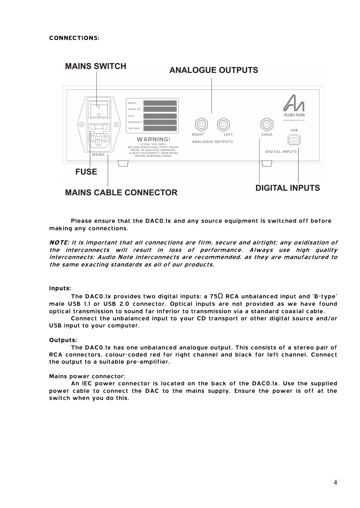

Please ensure that the DAC0.1x and any source equipment is switched off before making any connections.

**NOTE:** It is important that all connections are firm, secure and airtight; any oxidisation of the interconnects will result in loss of performance. Always use high quality interconnects; Audio Note interconnects are recommended, as they are manufactured to the same exacting standards as all of our products.

# **Inputs:**

The DAC0.1x provides two digital inputs; a 75 $\Omega$  RCA unbalanced input and 'B-type' male USB 1.1 or USB 2.0 connector. Optical inputs are not provided as we have found optical transmission to sound far inferior to transmission via a standard coaxial cable.

Connect the unbalanced input to your CD transport or other digital source and/or USB input to your computer.

#### **Outputs:**

The DAC0.1x has one unbalanced analogue output. This consists of a stereo pair of RCA connectors, colour-coded red for right channel and black for left channel. Connect the output to a suitable pre-amplifier.

#### Mains power connector:

An IEC power connector is located on the back of the DAC0.1x. Use the supplied power cable to connect the DAC to the mains supply. Ensure the power is off at the switch when you do this.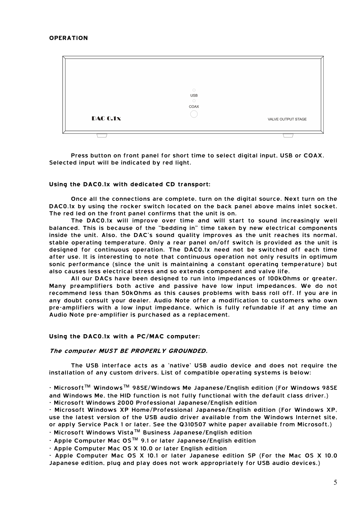|                 | $\bigcirc$<br><b>USB</b><br>$\bigcirc$<br>COAX |                    |
|-----------------|------------------------------------------------|--------------------|
| <b>DAC 0.1x</b> |                                                | VALVE OUTPUT STAGE |
|                 |                                                |                    |

Press button on front panel for short time to select digital input, USB or COAX. Selected input will be indicated by red light.

#### **Using the DAC0.1x with dedicated CD transport:**

Once all the connections are complete, turn on the digital source. Next turn on the DAC0.1x by using the rocker switch located on the back panel above mains inlet socket. The red led on the front panel confirms that the unit is on.

The DAC0.1x will improve over time and will start to sound increasingly well balanced. This is because of the "bedding in" time taken by new electrical components inside the unit. Also, the DAC's sound quality improves as the unit reaches its normal, stable operating temperature. Only a rear panel on/off switch is provided as the unit is designed for continuous operation. The DAC0.1x need not be switched off each time after use. It is interesting to note that continuous operation not only results in optimum sonic performance (since the unit is maintaining a constant operating temperature) but also causes less electrical stress and so extends component and valve life.

All our DACs have been designed to run into impedances of 100kOhms or greater. Many preamplifiers both active and passive have low input impedances. We do not recommend less than 50kOhms as this causes problems with bass roll off. If you are in any doubt consult your dealer. Audio Note offer a modification to customers who own pre-amplifiers with a low input impedance, which is fully refundable if at any time an Audio Note pre-amplifier is purchased as a replacement.

#### **Using the DAC0.1x with a PC/MAC computer:**

#### **The computer MUST BE PROPERLY GROUNDED.**

The USB interface acts as a 'native' USB audio device and does not require the installation of any custom drivers. List of compatible operating systems is below:

- Microsoft™ Windows™ 98SE/Windows Me Japanese/English edition (For Windows 98SE and Windows Me, the HID function is not fully functional with the default class driver.) - Microsoft Windows 2000 Professional Japanese/English edition

- Microsoft Windows XP Home/Professional Japanese/English edition (For Windows XP, use the latest version of the USB audio driver available from the Windows Internet site, or apply Service Pack 1 or later. See the Q310507 white paper available from Microsoft.)

- Microsoft Windows Vista™ Business Japanese/English edition

- Apple Computer Mac OS™ 9.1 or later Japanese/English edition

- Apple Computer Mac OS X 10.0 or later English edition

- Apple Computer Mac OS X 10.1 or later Japanese edition SP (For the Mac OS X 10.0 Japanese edition, plug and play does not work appropriately for USB audio devices.)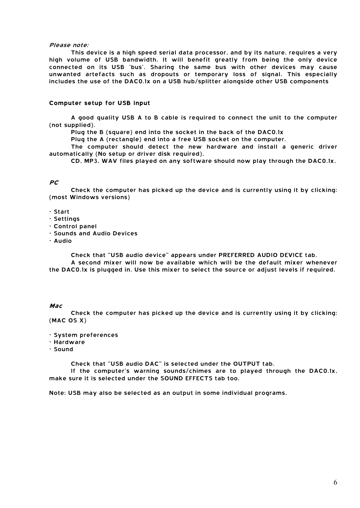#### Please note:

This device is a high speed serial data processor, and by its nature, requires a very high volume of USB bandwidth. It will benefit greatly from being the only device connected on its USB 'bus'. Sharing the same bus with other devices may cause unwanted artefacts such as dropouts or temporary loss of signal. This especially includes the use of the DAC0.1x on a USB hub/splitter alongside other USB components

#### **Computer setup for USB input**

A good quality USB A to B cable is required to connect the unit to the computer (not supplied).

Plug the B (square) end into the socket in the back of the DAC0.1x

Plug the A (rectangle) end into a free USB socket on the computer.

The computer should detect the new hardware and install a generic driver automatically (No setup or driver disk required).

CD, MP3, WAV files played on any software should now play through the DAC0.1x.

# **PC**

Check the computer has picked up the device and is currently using it by clicking: (most Windows versions)

#### - Start

- Settings
- Control panel
- Sounds and Audio Devices
- Audio

Check that "USB audio device" appears under PREFERRED AUDIO DEVICE tab. A second mixer will now be available which will be the default mixer whenever

the DAC0.1x is plugged in. Use this mixer to select the source or adjust levels if required.

#### **Mac**

Check the computer has picked up the device and is currently using it by clicking: (MAC OS X)

- System preferences
- Hardware
- Sound

Check that "USB audio DAC" is selected under the OUTPUT tab.

If the computer's warning sounds/chimes are to played through the DAC0.1x, make sure it is selected under the SOUND EFFECTS tab too.

Note: USB may also be selected as an output in some individual programs.